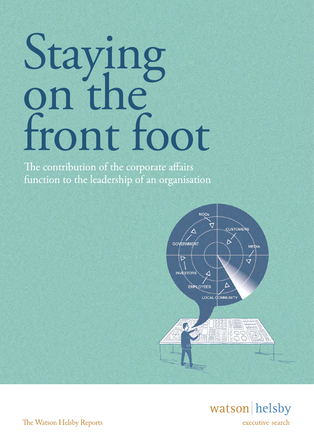# Staying<br>on the front foot

The contribution of the corporate affairs function to the leadership of an organisation





The Watson Helsby Reports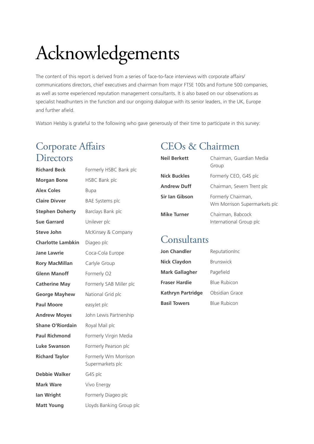# Acknowledgements

The content of this report is derived from a series of face-to-face interviews with corporate affairs/ communications directors, chief executives and chairman from major FTSE 100s and Fortune 500 companies, as well as some experienced reputation management consultants. It is also based on our observations as specialist headhunters in the function and our ongoing dialogue with its senior leaders, in the UK, Europe and further afield.

Watson Helsby is grateful to the following who gave generously of their time to participate in this survey:

## Corporate Affairs **Directors**

| <b>Richard Beck</b>     | Formerly HSBC Bank plc                   |
|-------------------------|------------------------------------------|
| <b>Morgan Bone</b>      | <b>HSBC Bank plc</b>                     |
| <b>Alex Coles</b>       | <b>Bupa</b>                              |
| <b>Claire Divver</b>    | <b>BAE Systems plc</b>                   |
| <b>Stephen Doherty</b>  | Barclays Bank plc                        |
| Sue Garrard             | Unilever plc                             |
| <b>Steve John</b>       | McKinsey & Company                       |
| Charlotte Lambkin       | Diageo plc                               |
| <b>Jane Lawrie</b>      | Coca-Cola Europe                         |
| <b>Rory MacMillan</b>   | Carlyle Group                            |
| <b>Glenn Manoff</b>     | Formerly O2                              |
| <b>Catherine May</b>    | Formerly SAB Miller plc                  |
| <b>George Mayhew</b>    | National Grid plc                        |
| <b>Paul Moore</b>       | easyJet plc                              |
| <b>Andrew Moyes</b>     | John Lewis Partnership                   |
| <b>Shane O'Riordain</b> | Royal Mail plc                           |
| <b>Paul Richmond</b>    | Formerly Virgin Media                    |
| Luke Swanson            | Formerly Pearson plc                     |
| <b>Richard Taylor</b>   | Formerly Wm Morrison<br>Supermarkets plc |
| <b>Debbie Walker</b>    | G4S plc                                  |
| Mark Ware               | Vivo Energy                              |
| lan Wright              | Formerly Diageo plc                      |
| <b>Matt Young</b>       | Lloyds Banking Group plc                 |

## CEOs & Chairmen

| <b>Neil Berkett</b> | Chairman, Guardian Media<br>Group                  |
|---------------------|----------------------------------------------------|
| <b>Nick Buckles</b> | Formerly CEO, G4S plc                              |
| <b>Andrew Duff</b>  | Chairman, Severn Trent plc                         |
| Sir Ian Gibson      | Formerly Chairman,<br>Wm Morrison Supermarkets plo |
| <b>Mike Turner</b>  | Chairman, Babcock<br>International Group plc       |

#### Consultants

| <b>Jon Chandler</b>      | ReputationInc       |
|--------------------------|---------------------|
| <b>Nick Claydon</b>      | <b>Brunswick</b>    |
| <b>Mark Gallagher</b>    | Pagefield           |
| Fraser Hardie            | <b>Blue Rubicon</b> |
| <b>Kathryn Partridge</b> | Obsidian Grace      |
| <b>Basil Towers</b>      | <b>Blue Rubicon</b> |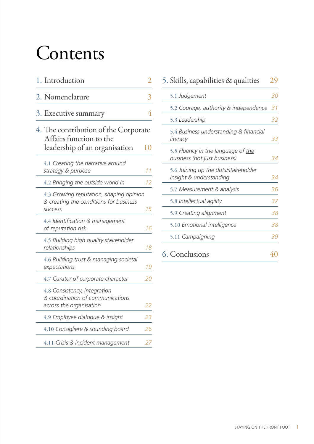# **Contents**

| 1. Introduction                                                                   |    |
|-----------------------------------------------------------------------------------|----|
| 2. Nomenclature                                                                   | 3  |
| 3. Executive summary                                                              | 4  |
| 4. The contribution of the Corporate<br>Affairs function to the                   |    |
| leadership of an organisation                                                     | 10 |
| 4.1 Creating the narrative around<br>strategy & purpose                           | 11 |
| 4.2 Bringing the outside world in                                                 | 12 |
| 4.3 Growing reputation, shaping opinion<br>& creating the conditions for business |    |
| <b>SUCCESS</b>                                                                    | 15 |
| 4.4 Identification & management<br>of reputation risk                             | 16 |
| 4.5 Building high quality stakeholder<br>relationships                            | 18 |
| 4.6 Building trust & managing societal<br>expectations                            | 19 |
| 4.7 Curator of corporate character                                                | 20 |
| 4.8 Consistency, integration<br>& coordination of communications                  |    |
| across the organisation                                                           | 22 |
| 4.9 Employee dialogue & insight                                                   | 23 |
| 4.10 Consigliere & sounding board                                                 | 26 |
| 4.11 Crisis & incident management                                                 | 27 |

| 5. Skills, capabilities & qualities                                | 29 |
|--------------------------------------------------------------------|----|
| 5.1 Judgement                                                      | 30 |
| 5.2 Courage, authority & independence                              | 31 |
| 5.3 Leadership                                                     | 32 |
| 5.4 Business understanding & financial<br>literacy                 | 33 |
| 5.5 Fluency in the language of the<br>business (not just business) | 34 |
| 5.6 Joining up the dots/stakeholder<br>insight & understanding     | 34 |
| 5.7 Measurement & analysis                                         | 36 |
| 5.8 Intellectual agility                                           | 37 |
| 5.9 Creating alignment                                             | 38 |
| 5.10 Emotional intelligence                                        | 38 |
| 5.11 Campaigning                                                   | 39 |
| 6. Conclusions                                                     |    |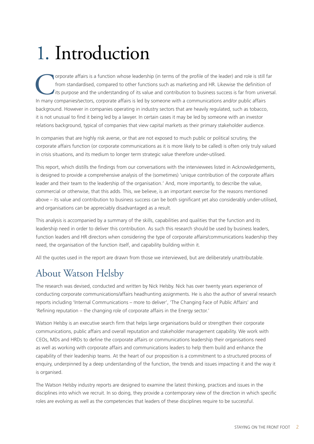# 1. Introduction

Corporate affairs is a function whose leadership (in terms of the profile of the leader) and role is still far from standardised, compared to other functions such as marketing and HR. Likewise the definition of its purpose from standardised, compared to other functions such as marketing and HR. Likewise the definition of its purpose and the understanding of its value and contribution to business success is far from universal. background. However in companies operating in industry sectors that are heavily regulated, such as tobacco, it is not unusual to find it being led by a lawyer. In certain cases it may be led by someone with an investor relations background, typical of companies that view capital markets as their primary stakeholder audience.

In companies that are highly risk averse, or that are not exposed to much public or political scrutiny, the corporate affairs function (or corporate communications as it is more likely to be called) is often only truly valued in crisis situations, and its medium to longer term strategic value therefore under-utilised.

This report, which distills the findings from our conversations with the interviewees listed in Acknowledgements, is designed to provide a comprehensive analysis of the (sometimes) 'unique contribution of the corporate affairs leader and their team to the leadership of the organisation.' And, more importantly, to describe the value, commercial or otherwise, that this adds. This, we believe, is an important exercise for the reasons mentioned above – its value and contribution to business success can be both significant vet also considerably under-utilised, and organisations can be appreciably disadvantaged as a result.

This analysis is accompanied by a summary of the skills, capabilities and qualities that the function and its leadership need in order to deliver this contribution. As such this research should be used by business leaders, function leaders and HR directors when considering the type of corporate affairs/communications leadership they need, the organisation of the function itself, and capability building within it.

All the quotes used in the report are drawn from those we interviewed, but are deliberately unattributable.

## About Watson Helsby

The research was devised, conducted and written by Nick Helsby. Nick has over twenty years experience of conducting corporate communications/affairs headhunting assignments. He is also the author of several research reports including 'Internal Communications – more to deliver', 'The Changing Face of Public Affairs' and 'Refining reputation – the changing role of corporate affairs in the Energy sector.'

Watson Helsby is an executive search firm that helps large organisations build or strengthen their corporate communications, public affairs and overall reputation and stakeholder management capability. We work with CEOs, MDs and HRDs to define the corporate affairs or communications leadership their organisations need as well as working with corporate affairs and communications leaders to help them build and enhance the capability of their leadership teams. At the heart of our proposition is a commitment to a structured process of enquiry, underpinned by a deep understanding of the function, the trends and issues impacting it and the way it is organised.

The Watson Helsby industry reports are designed to examine the latest thinking, practices and issues in the disciplines into which we recruit. In so doing, they provide a contemporary view of the direction in which specific roles are evolving as well as the competencies that leaders of these disciplines require to be successful.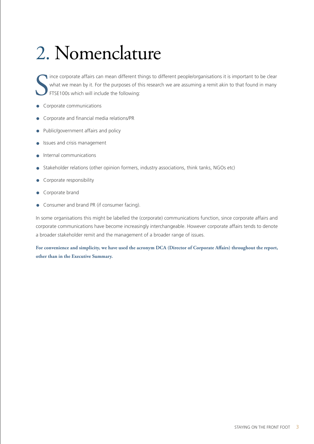# 2. Nomenclature

S ince corporate affairs can mean different things to different people/organisations it is important to be clear what we mean by it. For the purposes of this research we are assuming a remit akin to that found in many FTSE100s which will include the following:

- Corporate communications
- Corporate and financial media relations/PR
- Public/government affairs and policy
- Issues and crisis management
- Internal communications
- Stakeholder relations (other opinion formers, industry associations, think tanks, NGOs etc)
- Corporate responsibility
- Corporate brand
- Consumer and brand PR (if consumer facing).

In some organisations this might be labelled the (corporate) communications function, since corporate affairs and corporate communications have become increasingly interchangeable. However corporate affairs tends to denote a broader stakeholder remit and the management of a broader range of issues.

**For convenience and simplicity, we have used the acronym DCA (Director of Corporate Affairs) throughout the report, other than in the Executive Summary.**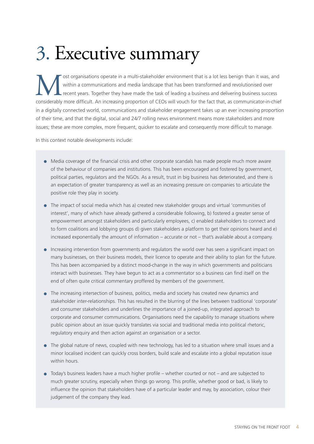# 3. Executive summary

ost organisations operate in a multi-stakeholder environment that is a lot less benign than it was, and within a communications and media landscape that has been transformed and revolutionised over recent years. Together t within a communications and media landscape that has been transformed and revolutionised over recent years. Together they have made the task of leading a business and delivering business success considerably more difficult. An increasing proportion of CEOs will vouch for the fact that, as communicator-in-chief in a digitally connected world, communications and stakeholder engagement takes up an ever increasing proportion of their time, and that the digital, social and 24/7 rolling news environment means more stakeholders and more issues; these are more complex, more frequent, quicker to escalate and consequently more difficult to manage.

In this context notable developments include:

- Media coverage of the financial crisis and other corporate scandals has made people much more aware of the behaviour of companies and institutions. This has been encouraged and fostered by government, political parties, regulators and the NGOs. As a result, trust in big business has deteriorated, and there is an expectation of greater transparency as well as an increasing pressure on companies to articulate the positive role they play in society.
- The impact of social media which has a) created new stakeholder groups and virtual 'communities of interest', many of which have already gathered a considerable following, b) fostered a greater sense of empowerment amongst stakeholders and particularly employees, c) enabled stakeholders to connect and to form coalitions and lobbying groups d) given stakeholders a platform to get their opinions heard and e) increased exponentially the amount of information – accurate or not – that's available about a company.
- Increasing intervention from governments and regulators the world over has seen a significant impact on many businesses, on their business models, their licence to operate and their ability to plan for the future. This has been accompanied by a distinct mood-change in the way in which governments and politicians interact with businesses. They have begun to act as a commentator so a business can find itself on the end of often quite critical commentary proffered by members of the government.
- The increasing intersection of business, politics, media and society has created new dynamics and stakeholder inter-relationships. This has resulted in the blurring of the lines between traditional 'corporate' and consumer stakeholders and underlines the importance of a joined-up, integrated approach to corporate and consumer communications. Organisations need the capability to manage situations where public opinion about an issue quickly translates via social and traditional media into political rhetoric, regulatory enquiry and then action against an organisation or a sector.
- The global nature of news, coupled with new technology, has led to a situation where small issues and a minor localised incident can quickly cross borders, build scale and escalate into a global reputation issue within hours.
- Today's business leaders have a much higher profile whether courted or not and are subjected to much greater scrutiny, especially when things go wrong. This profile, whether good or bad, is likely to influence the opinion that stakeholders have of a particular leader and may, by association, colour their judgement of the company they lead.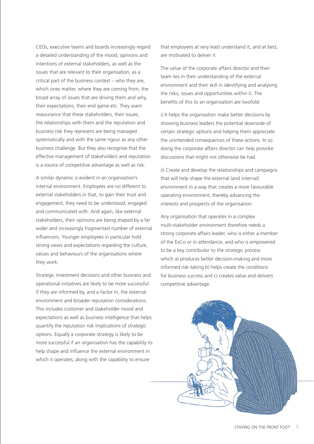CEOs, executive teams and boards increasingly regard a detailed understanding of the mood, opinions and intentions of external stakeholders, as well as the issues that are relevant to their organisation, as a critical part of the business context – who they are, which ones matter, where they are coming from, the broad array of issues that are driving them and why, their expectations, their end game etc. They want reassurance that these stakeholders, their issues, the relationships with them and the reputation and business risk they represent are being managed systematically and with the same rigour as any other business challenge. But they also recognise that the effective management of stakeholders and reputation is a source of competitive advantage as well as risk.

A similar dynamic is evident in an organisation's internal environment. Employees are no different to external stakeholders in that, to gain their trust and engagement, they need to be understood, engaged and communicated with. And again, like external stakeholders, their opinions are being shaped by a far wider and increasingly fragmented number of external influencers. Younger employees in particular hold strong views and expectations regarding the culture, values and behaviours of the organisations where they work.

Strategic investment decisions and other business and operational initiatives are likely to be more successful if they are informed by, and a factor in, the external environment and broader reputation considerations. This includes customer and stakeholder mood and expectations as well as business intelligence that helps quantify the reputation risk implications of strategic options. Equally a corporate strategy is likely to be more successful if an organisation has the capability to help shape and influence the external environment in which it operates; along with the capability to ensure

that employees at very least understand it, and at best, are motivated to deliver it.

The value of the corporate affairs director and their team lies in their understanding of the external environment and their skill in identifying and analysing the risks, issues and opportunities within it. The benefits of this to an organisation are twofold:

i) It helps the organisation make better decisions by showing business leaders the potential downside of certain strategic options and helping them appreciate the unintended consequences of these actions. In so doing the corporate affairs director can help provoke discussions that might not otherwise be had.

ii) Create and develop the relationships and campaigns that will help shape the external (and internal) environment in a way that creates a more favourable operating environment, thereby advancing the interests and prospects of the organisation.

Any organisation that operates in a complex multi-stakeholder environment therefore needs a strong corporate affairs leader, who is either a member of the ExCo or in attendance, and who is empowered to be a key contributor to the strategic process which a) produces better decision-making and more informed risk-taking b) helps create the conditions for business success and c) creates value and delivers competitive advantage.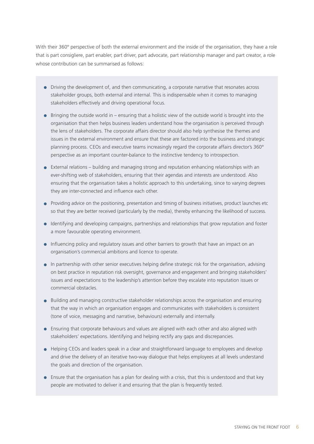With their 360° perspective of both the external environment and the inside of the organisation, they have a role that is part consigliere, part enabler, part driver, part advocate, part relationship manager and part creator, a role whose contribution can be summarised as follows:

- Driving the development of, and then communicating, a corporate narrative that resonates across stakeholder groups, both external and internal. This is indispensable when it comes to managing stakeholders effectively and driving operational focus.
- $\bullet$  Bringing the outside world in ensuring that a holistic view of the outside world is brought into the organisation that then helps business leaders understand how the organisation is perceived through the lens of stakeholders. The corporate affairs director should also help synthesise the themes and issues in the external environment and ensure that these are factored into the business and strategic planning process. CEOs and executive teams increasingly regard the corporate affairs director's 360° perspective as an important counter-balance to the instinctive tendency to introspection.
- External relations building and managing strong and reputation enhancing relationships with an ever-shifting web of stakeholders, ensuring that their agendas and interests are understood. Also ensuring that the organisation takes a holistic approach to this undertaking, since to varying degrees they are inter-connected and influence each other.
- Providing advice on the positioning, presentation and timing of business initiatives, product launches etc so that they are better received (particularly by the media), thereby enhancing the likelihood of success.
- Identifying and developing campaigns, partnerships and relationships that grow reputation and foster a more favourable operating environment.
- Influencing policy and regulatory issues and other barriers to growth that have an impact on an organisation's commercial ambitions and licence to operate.
- In partnership with other senior executives helping define strategic risk for the organisation, advising on best practice in reputation risk oversight, governance and engagement and bringing stakeholders' issues and expectations to the leadership's attention before they escalate into reputation issues or commercial obstacles.
- Building and managing constructive stakeholder relationships across the organisation and ensuring that the way in which an organisation engages and communicates with stakeholders is consistent (tone of voice, messaging and narrative, behaviours) externally and internally.
- Ensuring that corporate behaviours and values are aligned with each other and also aligned with stakeholders' expectations. Identifying and helping rectify any gaps and discrepancies.
- Helping CEOs and leaders speak in a clear and straightforward language to employees and develop and drive the delivery of an iterative two-way dialogue that helps employees at all levels understand the goals and direction of the organisation.
- Ensure that the organisation has a plan for dealing with a crisis, that this is understood and that key people are motivated to deliver it and ensuring that the plan is frequently tested.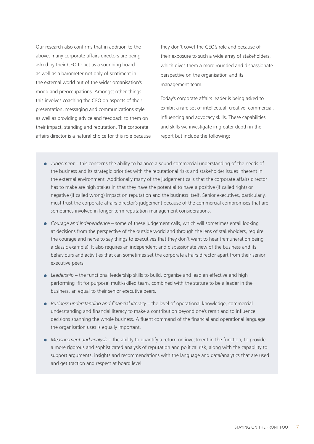Our research also confirms that in addition to the above, many corporate affairs directors are being asked by their CEO to act as a sounding board as well as a barometer not only of sentiment in the external world but of the wider organisation's mood and preoccupations. Amongst other things this involves coaching the CEO on aspects of their presentation, messaging and communications style as well as providing advice and feedback to them on their impact, standing and reputation. The corporate affairs director is a natural choice for this role because

they don't covet the CEO's role and because of their exposure to such a wide array of stakeholders, which gives them a more rounded and dispassionate perspective on the organisation and its management team.

Today's corporate affairs leader is being asked to exhibit a rare set of intellectual, creative, commercial, influencing and advocacy skills. These capabilities and skills we investigate in greater depth in the report but include the following:

- *Judgement* this concerns the ability to balance a sound commercial understanding of the needs of the business and its strategic priorities with the reputational risks and stakeholder issues inherent in the external environment. Additionally many of the judgement calls that the corporate affairs director has to make are high stakes in that they have the potential to have a positive (if called right) or negative (if called wrong) impact on reputation and the business itself. Senior executives, particularly, must trust the corporate affairs director's judgement because of the commercial compromises that are sometimes involved in longer-term reputation management considerations.
- *Courage and independence* some of these judgement calls, which will sometimes entail looking at decisions from the perspective of the outside world and through the lens of stakeholders, require the courage and nerve to say things to executives that they don't want to hear (remuneration being a classic example). It also requires an independent and dispassionate view of the business and its behaviours and activities that can sometimes set the corporate affairs director apart from their senior executive peers.
- *Leadership* the functional leadership skills to build, organise and lead an effective and high performing 'fit for purpose' multi-skilled team, combined with the stature to be a leader in the business, an equal to their senior executive peers.
- *Business understanding and financial literacy* the level of operational knowledge, commercial understanding and financial literacy to make a contribution beyond one's remit and to influence decisions spanning the whole business. A fluent command of the financial and operational language the organisation uses is equally important.
- *Measurement and analysis* the ability to quantify a return on investment in the function, to provide a more rigorous and sophisticated analysis of reputation and political risk, along with the capability to support arguments, insights and recommendations with the language and data/analytics that are used and get traction and respect at board level.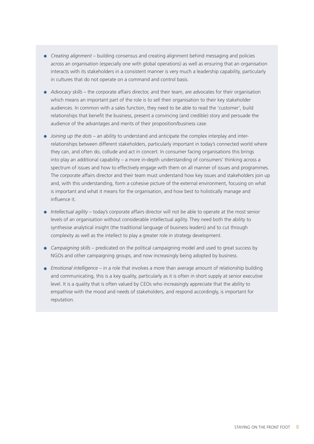- *Creating alignment* building consensus and creating alignment behind messaging and policies across an organisation (especially one with global operations) as well as ensuring that an organisation interacts with its stakeholders in a consistent manner is very much a leadership capability, particularly in cultures that do not operate on a command and control basis.
- *Advocacy skills* the corporate affairs director, and their team, are advocates for their organisation which means an important part of the role is to sell their organisation to their key stakeholder audiences. In common with a sales function, they need to be able to read the 'customer', build relationships that benefit the business, present a convincing (and credible) story and persuade the audience of the advantages and merits of their proposition/business case.
- *Joining up the dots*  an ability to understand and anticipate the complex interplay and interrelationships between different stakeholders, particularly important in today's connected world where they can, and often do, collude and act in concert. In consumer facing organisations this brings into play an additional capability – a more in-depth understanding of consumers' thinking across a spectrum of issues and how to effectively engage with them on all manner of issues and programmes. The corporate affairs director and their team must understand how key issues and stakeholders join up and, with this understanding, form a cohesive picture of the external environment, focusing on what is important and what it means for the organisation, and how best to holistically manage and influence it.
- *Intellectual agility*  today's corporate affairs director will not be able to operate at the most senior levels of an organisation without considerable intellectual agility. They need both the ability to synthesise analytical insight (the traditional language of business leaders) and to cut through complexity as well as the intellect to play a greater role in strategy development.
- *Campaigning skills* predicated on the political campaigning model and used to great success by NGOs and other campaigning groups, and now increasingly being adopted by business.
- *Emotional intelligence*  in a role that involves a more than average amount of relationship building and communicating, this is a key quality, particularly as it is often in short supply at senior executive level. It is a quality that is often valued by CEOs who increasingly appreciate that the ability to empathise with the mood and needs of stakeholders, and respond accordingly, is important for reputation.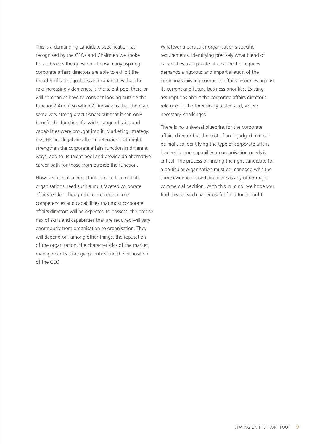This is a demanding candidate specification, as recognised by the CEOs and Chairmen we spoke to, and raises the question of how many aspiring corporate affairs directors are able to exhibit the breadth of skills, qualities and capabilities that the role increasingly demands. Is the talent pool there or will companies have to consider looking outside the function? And if so where? Our view is that there are some very strong practitioners but that it can only benefit the function if a wider range of skills and capabilities were brought into it. Marketing, strategy, risk, HR and legal are all competencies that might strengthen the corporate affairs function in different ways, add to its talent pool and provide an alternative career path for those from outside the function.

However, it is also important to note that not all organisations need such a multifaceted corporate affairs leader. Though there are certain core competencies and capabilities that most corporate affairs directors will be expected to possess, the precise mix of skills and capabilities that are required will vary enormously from organisation to organisation. They will depend on, among other things, the reputation of the organisation, the characteristics of the market, management's strategic priorities and the disposition of the CEO.

Whatever a particular organisation's specific requirements, identifying precisely what blend of capabilities a corporate affairs director requires demands a rigorous and impartial audit of the company's existing corporate affairs resources against its current and future business priorities. Existing assumptions about the corporate affairs director's role need to be forensically tested and, where necessary, challenged.

There is no universal blueprint for the corporate affairs director but the cost of an ill-judged hire can be high, so identifying the type of corporate affairs leadership and capability an organisation needs is critical. The process of finding the right candidate for a particular organisation must be managed with the same evidence-based discipline as any other major commercial decision. With this in mind, we hope you find this research paper useful food for thought.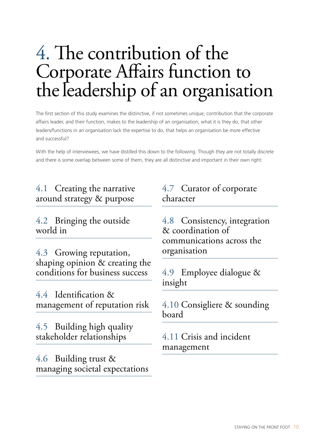## 4. The contribution of the Corporate Affairs function to the leadership of an organisation

The first section of this study examines the distinctive, if not sometimes unique, contribution that the corporate affairs leader, and their function, makes to the leadership of an organisation; what it is they do, that other leaders/functions in an organisation lack the expertise to do, that helps an organisation be more effective and successful?

With the help of interviewees, we have distilled this down to the following. Though they are not totally discrete and there is some overlap between some of them, they are all distinctive and important in their own right:

#### 4.1 Creating the narrative around strategy & purpose

4.2 Bringing the outside world in

4.3 Growing reputation, shaping opinion & creating the conditions for business success

4.4 Identification & management of reputation risk

4.5 Building high quality stakeholder relationships

4.6 Building trust & managing societal expectations

#### 4.7 Curator of corporate character

4.8 Consistency, integration & coordination of communications across the organisation

4.9 Employee dialogue & insight

4.10 Consigliere & sounding board

4.11 Crisis and incident management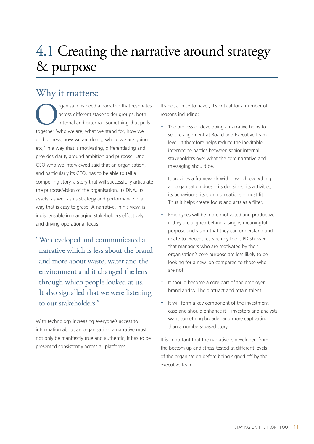## 4.1 Creating the narrative around strategy & purpose

## Why it matters:

The resonates across different stakeholder groups, both internal and external. Something that pulls together 'who we are, what we stand for, how we across different stakeholder groups, both internal and external. Something that pulls do business, how we are doing, where we are going etc,' in a way that is motivating, differentiating and provides clarity around ambition and purpose. One CEO who we interviewed said that an organisation, and particularly its CEO, has to be able to tell a compelling story, a story that will successfully articulate the purpose/vision of the organisation, its DNA, its assets, as well as its strategy and performance in a way that is easy to grasp. A narrative, in his view, is indispensable in managing stakeholders effectively and driving operational focus.

"We developed and communicated a narrative which is less about the brand and more about waste, water and the environment and it changed the lens through which people looked at us. It also signalled that we were listening to our stakeholders."

With technology increasing everyone's access to information about an organisation, a narrative must not only be manifestly true and authentic, it has to be presented consistently across all platforms.

It's not a 'nice to have', it's critical for a number of reasons including:

- The process of developing a narrative helps to secure alignment at Board and Executive team level. It therefore helps reduce the inevitable internecine battles between senior internal stakeholders over what the core narrative and messaging should be.
- It provides a framework within which everything an organisation does – its decisions, its activities, its behaviours, its communications – must fit. Thus it helps create focus and acts as a filter.
- Employees will be more motivated and productive if they are aligned behind a single, meaningful purpose and vision that they can understand and relate to. Recent research by the CIPD showed that managers who are motivated by their organisation's core purpose are less likely to be looking for a new job compared to those who are not.
- It should become a core part of the employer brand and will help attract and retain talent.
- It will form a key component of the investment case and should enhance it – investors and analysts want something broader and more captivating than a numbers-based story.

It is important that the narrative is developed from the bottom up and stress-tested at different levels of the organisation before being signed off by the executive team.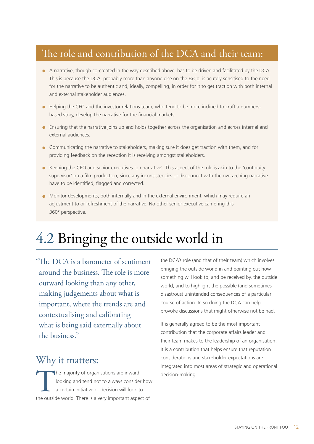## The role and contribution of the DCA and their team:

- A narrative, though co-created in the way described above, has to be driven and facilitated by the DCA. This is because the DCA, probably more than anyone else on the ExCo, is acutely sensitised to the need for the narrative to be authentic and, ideally, compelling, in order for it to get traction with both internal and external stakeholder audiences.
- Helping the CFO and the investor relations team, who tend to be more inclined to craft a numbersbased story, develop the narrative for the financial markets.
- Ensuring that the narrative joins up and holds together across the organisation and across internal and external audiences.
- Communicating the narrative to stakeholders, making sure it does get traction with them, and for providing feedback on the reception it is receiving amongst stakeholders.
- Keeping the CEO and senior executives 'on narrative'. This aspect of the role is akin to the 'continuity supervisor' on a film production, since any inconsistencies or disconnect with the overarching narrative have to be identified, flagged and corrected.
- Monitor developments, both internally and in the external environment, which may require an adjustment to or refreshment of the narrative. No other senior executive can bring this 360° perspective.

## 4.2 Bringing the outside world in

"The DCA is a barometer of sentiment around the business. The role is more outward looking than any other, making judgements about what is important, where the trends are and contextualising and calibrating what is being said externally about the business."

#### Why it matters:

The majority of organisations are inward<br>looking and tend not to always consider<br>a certain initiative or decision will look to<br>the outside world. There is a very important aspected looking and tend not to always consider how a certain initiative or decision will look to the outside world. There is a very important aspect of

the DCA's role (and that of their team) which involves bringing the outside world in and pointing out how something will look to, and be received by, the outside world; and to highlight the possible (and sometimes disastrous) unintended consequences of a particular course of action. In so doing the DCA can help provoke discussions that might otherwise not be had.

It is generally agreed to be the most important contribution that the corporate affairs leader and their team makes to the leadership of an organisation. It is a contribution that helps ensure that reputation considerations and stakeholder expectations are integrated into most areas of strategic and operational decision-making.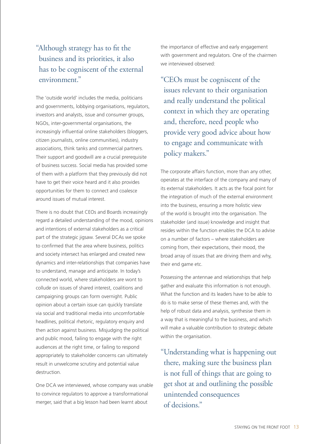#### "Although strategy has to fit the business and its priorities, it also has to be cogniscent of the external environment."

The 'outside world' includes the media, politicians and governments, lobbying organisations, regulators, investors and analysts, issue and consumer groups, NGOs, inter-governmental organisations, the increasingly influential online stakeholders (bloggers, citizen journalists, online communities), industry associations, think tanks and commercial partners. Their support and goodwill are a crucial prerequisite of business success. Social media has provided some of them with a platform that they previously did not have to get their voice heard and it also provides opportunities for them to connect and coalesce around issues of mutual interest.

There is no doubt that CEOs and Boards increasingly regard a detailed understanding of the mood, opinions and intentions of external stakeholders as a critical part of the strategic jigsaw. Several DCAs we spoke to confirmed that the area where business, politics and society intersect has enlarged and created new dynamics and inter-relationships that companies have to understand, manage and anticipate. In today's connected world, where stakeholders are wont to collude on issues of shared interest, coalitions and campaigning groups can form overnight. Public opinion about a certain issue can quickly translate via social and traditional media into uncomfortable headlines, political rhetoric, regulatory enquiry and then action against business. Misjudging the political and public mood, failing to engage with the right audiences at the right time, or failing to respond appropriately to stakeholder concerns can ultimately result in unwelcome scrutiny and potential value destruction.

One DCA we interviewed, whose company was unable to convince regulators to approve a transformational merger, said that a big lesson had been learnt about

the importance of effective and early engagement with government and regulators. One of the chairmen we interviewed observed:

"CEOs must be cogniscent of the issues relevant to their organisation and really understand the political context in which they are operating and, therefore, need people who provide very good advice about how to engage and communicate with policy makers."

The corporate affairs function, more than any other, operates at the interface of the company and many of its external stakeholders. It acts as the focal point for the integration of much of the external environment into the business, ensuring a more holistic view of the world is brought into the organisation. The stakeholder (and issue) knowledge and insight that resides within the function enables the DCA to advise on a number of factors – where stakeholders are coming from, their expectations, their mood, the broad array of issues that are driving them and why, their end game etc.

Possessing the antennae and relationships that help gather and evaluate this information is not enough. What the function and its leaders have to be able to do is to make sense of these themes and, with the help of robust data and analysis, synthesise them in a way that is meaningful to the business, and which will make a valuable contribution to strategic debate within the organisation.

"Understanding what is happening out there, making sure the business plan is not full of things that are going to get shot at and outlining the possible unintended consequences of decisions."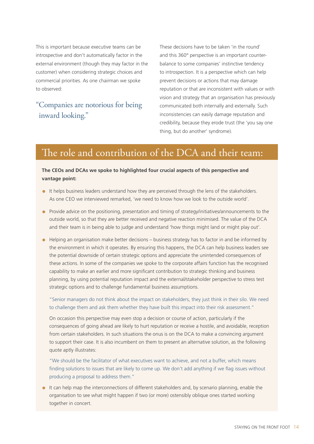This is important because executive teams can be introspective and don't automatically factor in the external environment (though they may factor in the customer) when considering strategic choices and commercial priorities. As one chairman we spoke to observed:

#### "Companies are notorious for being inward looking."

These decisions have to be taken 'in the round' and this 360° perspective is an important counterbalance to some companies' instinctive tendency to introspection. It is a perspective which can help prevent decisions or actions that may damage reputation or that are inconsistent with values or with vision and strategy that an organisation has previously communicated both internally and externally. Such inconsistencies can easily damage reputation and credibility, because they erode trust (the 'you say one thing, but do another' syndrome).

#### The role and contribution of the DCA and their team:

#### **The CEOs and DCAs we spoke to highlighted four crucial aspects of this perspective and vantage point:**

- It helps business leaders understand how they are perceived through the lens of the stakeholders. As one CEO we interviewed remarked, 'we need to know how we look to the outside world'.
- Provide advice on the positioning, presentation and timing of strategy/initiatives/announcements to the outside world, so that they are better received and negative reaction minimised. The value of the DCA and their team is in being able to judge and understand 'how things might land or might play out'.
- Helping an organisation make better decisions business strategy has to factor in and be informed by the environment in which it operates. By ensuring this happens, the DCA can help business leaders see the potential downside of certain strategic options and appreciate the unintended consequences of these actions. In some of the companies we spoke to the corporate affairs function has the recognised capability to make an earlier and more significant contribution to strategic thinking and business planning, by using potential reputation impact and the external/stakeholder perspective to stress test strategic options and to challenge fundamental business assumptions.

"Senior managers do not think about the impact on stakeholders, they just think in their silo. We need to challenge them and ask them whether they have built this impact into their risk assessment."

On occasion this perspective may even stop a decision or course of action, particularly if the consequences of going ahead are likely to hurt reputation or receive a hostile, and avoidable, reception from certain stakeholders. In such situations the onus is on the DCA to make a convincing argument to support their case. It is also incumbent on them to present an alternative solution, as the following quote aptly illustrates:

"We should be the facilitator of what executives want to achieve, and not a buffer, which means finding solutions to issues that are likely to come up. We don't add anything if we flag issues without producing a proposal to address them."

• It can help map the interconnections of different stakeholders and, by scenario planning, enable the organisation to see what might happen if two (or more) ostensibly oblique ones started working together in concert.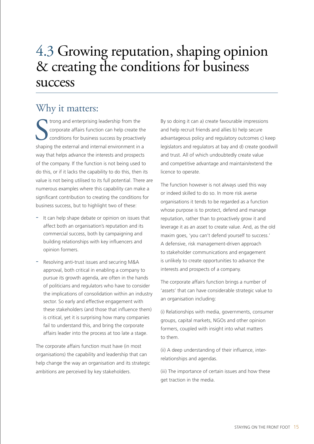## 4.3 Growing reputation, shaping opinion & creating the conditions for business success

#### Why it matters:

shaping and enterprising leadership from the<br>
shaping the external and internal environment in a<br>
shaping the external and internal environment in a trong and enterprising leadership from the corporate affairs function can help create the conditions for business success by proactively way that helps advance the interests and prospects of the company. If the function is not being used to do this, or if it lacks the capability to do this, then its value is not being utilised to its full potential. There are numerous examples where this capability can make a significant contribution to creating the conditions for business success, but to highlight two of these:

- It can help shape debate or opinion on issues that affect both an organisation's reputation and its commercial success, both by campaigning and building relationships with key influencers and opinion formers.
- Resolving anti-trust issues and securing M&A approval, both critical in enabling a company to pursue its growth agenda, are often in the hands of politicians and regulators who have to consider the implications of consolidation within an industry sector. So early and effective engagement with these stakeholders (and those that influence them) is critical, yet it is surprising how many companies fail to understand this, and bring the corporate affairs leader into the process at too late a stage.

The corporate affairs function must have (in most organisations) the capability and leadership that can help change the way an organisation and its strategic ambitions are perceived by key stakeholders.

By so doing it can a) create favourable impressions and help recruit friends and allies b) help secure advantageous policy and regulatory outcomes c) keep legislators and regulators at bay and d) create goodwill and trust. All of which undoubtedly create value and competitive advantage and maintain/extend the licence to operate.

The function however is not always used this way or indeed skilled to do so. In more risk averse organisations it tends to be regarded as a function whose purpose is to protect, defend and manage reputation, rather than to proactively grow it and leverage it as an asset to create value. And, as the old maxim goes, 'you can't defend yourself to success.' A defensive, risk management-driven approach to stakeholder communications and engagement is unlikely to create opportunities to advance the interests and prospects of a company.

The corporate affairs function brings a number of 'assets' that can have considerable strategic value to an organisation including:

(i) Relationships with media, governments, consumer groups, capital markets, NGOs and other opinion formers, coupled with insight into what matters to them.

(ii) A deep understanding of their influence, interrelationships and agendas.

(iii) The importance of certain issues and how these get traction in the media.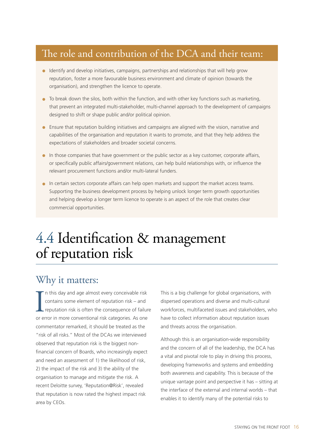## The role and contribution of the DCA and their team:

- Identify and develop initiatives, campaigns, partnerships and relationships that will help grow reputation, foster a more favourable business environment and climate of opinion (towards the organisation), and strengthen the licence to operate.
- To break down the silos, both within the function, and with other key functions such as marketing, that prevent an integrated multi-stakeholder, multi-channel approach to the development of campaigns designed to shift or shape public and/or political opinion.
- Ensure that reputation building initiatives and campaigns are aligned with the vision, narrative and capabilities of the organisation and reputation it wants to promote, and that they help address the expectations of stakeholders and broader societal concerns.
- In those companies that have government or the public sector as a key customer, corporate affairs, or specifically public affairs/government relations, can help build relationships with, or influence the relevant procurement functions and/or multi-lateral funders.
- In certain sectors corporate affairs can help open markets and support the market access teams. Supporting the business development process by helping unlock longer term growth opportunities and helping develop a longer term licence to operate is an aspect of the role that creates clear commercial opportunities.

## 4.4 Identification & management of reputation risk

#### Why it matters:

In this day and age almost every conceivable risk<br>contains some element of reputation risk – and<br>reputation risk is often the consequence of failur<br>or error in more conventional risk categories. As one n this day and age almost every conceivable risk contains some element of reputation risk – and reputation risk is often the consequence of failure commentator remarked, it should be treated as the "risk of all risks." Most of the DCAs we interviewed observed that reputation risk is the biggest nonfinancial concern of Boards, who increasingly expect and need an assessment of 1) the likelihood of risk, 2) the impact of the risk and 3) the ability of the organisation to manage and mitigate the risk. A recent Deloitte survey, 'Reputation@Risk', revealed that reputation is now rated the highest impact risk area by CEOs.

This is a big challenge for global organisations, with dispersed operations and diverse and multi-cultural workforces, multifaceted issues and stakeholders, who have to collect information about reputation issues and threats across the organisation.

Although this is an organisation-wide responsibility and the concern of all of the leadership, the DCA has a vital and pivotal role to play in driving this process, developing frameworks and systems and embedding both awareness and capability. This is because of the unique vantage point and perspective it has – sitting at the interface of the external and internal worlds – that enables it to identify many of the potential risks to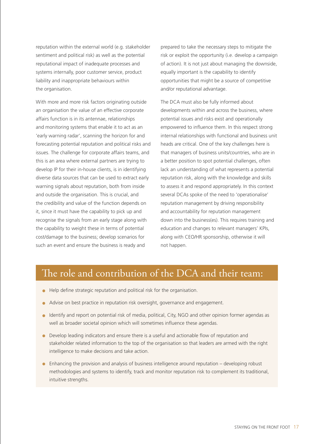reputation within the external world (e.g. stakeholder sentiment and political risk) as well as the potential reputational impact of inadequate processes and systems internally, poor customer service, product liability and inappropriate behaviours within the organisation.

With more and more risk factors originating outside an organisation the value of an effective corporate affairs function is in its antennae, relationships and monitoring systems that enable it to act as an 'early warning radar', scanning the horizon for and forecasting potential reputation and political risks and issues. The challenge for corporate affairs teams, and this is an area where external partners are trying to develop IP for their in-house clients, is in identifying diverse data sources that can be used to extract early warning signals about reputation, both from inside and outside the organisation. This is crucial, and the credibility and value of the function depends on it, since it must have the capability to pick up and recognise the signals from an early stage along with the capability to weight these in terms of potential cost/damage to the business; develop scenarios for such an event and ensure the business is ready and

prepared to take the necessary steps to mitigate the risk or exploit the opportunity (i.e. develop a campaign of action). It is not just about managing the downside, equally important is the capability to identify opportunities that might be a source of competitive and/or reputational advantage.

The DCA must also be fully informed about developments within and across the business, where potential issues and risks exist and operationally empowered to influence them. In this respect strong internal relationships with functional and business unit heads are critical. One of the key challenges here is that managers of business units/countries, who are in a better position to spot potential challenges, often lack an understanding of what represents a potential reputation risk, along with the knowledge and skills to assess it and respond appropriately. In this context several DCAs spoke of the need to 'operationalise' reputation management by driving responsibility and accountability for reputation management down into the business(es). This requires training and education and changes to relevant managers' KPIs, along with CEO/HR sponsorship, otherwise it will not happen.

### The role and contribution of the DCA and their team:

- Help define strategic reputation and political risk for the organisation.
- Advise on best practice in reputation risk oversight, governance and engagement.
- Identify and report on potential risk of media, political, City, NGO and other opinion former agendas as well as broader societal opinion which will sometimes influence these agendas.
- Develop leading indicators and ensure there is a useful and actionable flow of reputation and stakeholder related information to the top of the organisation so that leaders are armed with the right intelligence to make decisions and take action.
- Enhancing the provision and analysis of business intelligence around reputation developing robust methodologies and systems to identify, track and monitor reputation risk to complement its traditional, intuitive strengths.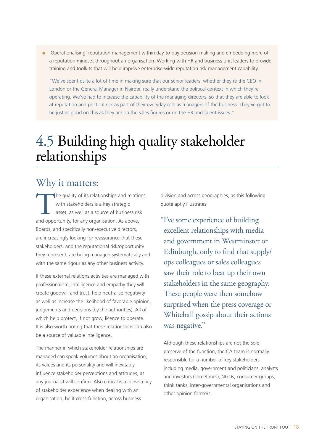• 'Operationalising' reputation management within day-to-day decision making and embedding more of a reputation mindset throughout an organisation. Working with HR and business unit leaders to provide training and toolkits that will help improve enterprise-wide reputation risk management capability.

"We've spent quite a lot of time in making sure that our senior leaders, whether they're the CEO in London or the General Manager in Nairobi, really understand the political context in which they're operating. We've had to increase the capability of the managing directors, so that they are able to look at reputation and political risk as part of their everyday role as managers of the business. They've got to be just as good on this as they are on the sales figures or on the HR and talent issues."

## 4.5 Building high quality stakeholder relationships

## Why it matters:

The quality of its relationships and relations<br>
with stakeholders is a key strategic<br>
asset, as well as a source of business risk<br>
and opportunity, for any organisation. As above, with stakeholders is a key strategic asset, as well as a source of business risk Boards, and specifically non-executive directors, are increasingly looking for reassurance that these stakeholders, and the reputational risk/opportunity they represent, are being managed systematically and with the same rigour as any other business activity.

If these external relations activities are managed with professionalism, intelligence and empathy they will create goodwill and trust, help neutralise negativity as well as increase the likelihood of favorable opinion, judgements and decisions (by the authorities). All of which help protect, if not grow, licence to operate. It is also worth noting that these relationships can also be a source of valuable intelligence.

The manner in which stakeholder relationships are managed can speak volumes about an organisation, its values and its personality and will inevitably influence stakeholder perceptions and attitudes, as any journalist will confirm. Also critical is a consistency of stakeholder experience when dealing with an organisation, be it cross-function, across business

division and across geographies, as this following quote aptly illustrates:

"I've some experience of building excellent relationships with media and government in Westminster or Edinburgh, only to find that supply/ ops colleagues or sales colleagues saw their role to beat up their own stakeholders in the same geography. These people were then somehow surprised when the press coverage or Whitehall gossip about their actions was negative."

Although these relationships are not the sole preserve of the function, the CA team is normally responsible for a number of key stakeholders including media, government and politicians, analysts and investors (sometimes), NGOs, consumer groups, think tanks, inter-governmental organisations and other opinion formers.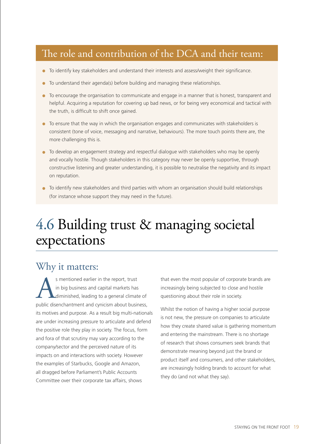## The role and contribution of the DCA and their team:

- To identify key stakeholders and understand their interests and assess/weight their significance.
- To understand their agenda(s) before building and managing these relationships.
- To encourage the organisation to communicate and engage in a manner that is honest, transparent and helpful. Acquiring a reputation for covering up bad news, or for being very economical and tactical with the truth, is difficult to shift once gained.
- To ensure that the way in which the organisation engages and communicates with stakeholders is consistent (tone of voice, messaging and narrative, behaviours). The more touch points there are, the more challenging this is.
- To develop an engagement strategy and respectful dialogue with stakeholders who may be openly and vocally hostile. Though stakeholders in this category may never be openly supportive, through constructive listening and greater understanding, it is possible to neutralise the negativity and its impact on reputation.
- To identify new stakeholders and third parties with whom an organisation should build relationships (for instance whose support they may need in the future).

## 4.6 Building trust & managing societal expectations

## Why it matters:

s mentioned earlier in the report, trust<br>in big business and capital markets has<br>diminished, leading to a general climat<br>oublic disenchantment and cvnicism about busin in big business and capital markets has diminished, leading to a general climate of public disenchantment and cynicism about business, its motives and purpose. As a result big multi-nationals are under increasing pressure to articulate and defend the positive role they play in society. The focus, form and fora of that scrutiny may vary according to the company/sector and the perceived nature of its impacts on and interactions with society. However the examples of Starbucks, Google and Amazon, all dragged before Parliament's Public Accounts Committee over their corporate tax affairs, shows

that even the most popular of corporate brands are increasingly being subjected to close and hostile questioning about their role in society.

Whilst the notion of having a higher social purpose is not new, the pressure on companies to articulate how they create shared value is gathering momentum and entering the mainstream. There is no shortage of research that shows consumers seek brands that demonstrate meaning beyond just the brand or product itself and consumers, and other stakeholders, are increasingly holding brands to account for what they do (and not what they say).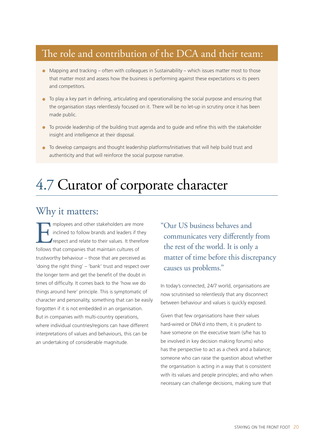## The role and contribution of the DCA and their team:

- Mapping and tracking often with colleagues in Sustainability which issues matter most to those that matter most and assess how the business is performing against these expectations vs its peers and competitors.
- To play a key part in defining, articulating and operationalising the social purpose and ensuring that the organisation stays relentlessly focused on it. There will be no let-up in scrutiny once it has been made public.
- To provide leadership of the building trust agenda and to guide and refine this with the stakeholder insight and intelligence at their disposal.
- To develop campaigns and thought leadership platforms/initiatives that will help build trust and authenticity and that will reinforce the social purpose narrative.

## 4.7 Curator of corporate character

## Why it matters:

Imployees and other stakeholders are more<br>inclined to follow brands and leaders if they<br>respect and relate to their values. It therefore<br>follows that companies that maintain cultures of inclined to follow brands and leaders if they respect and relate to their values. It therefore follows that companies that maintain cultures of trustworthy behaviour – those that are perceived as 'doing the right thing' – 'bank' trust and respect over the longer term and get the benefit of the doubt in times of difficulty. It comes back to the 'how we do things around here' principle. This is symptomatic of character and personality, something that can be easily forgotten if it is not embedded in an organisation. But in companies with multi-country operations, where individual countries/regions can have different interpretations of values and behaviours, this can be an undertaking of considerable magnitude.

"Our US business behaves and communicates very differently from the rest of the world. It is only a matter of time before this discrepancy causes us problems."

In today's connected, 24/7 world, organisations are now scrutinised so relentlessly that any disconnect between behaviour and values is quickly exposed.

Given that few organisations have their values hard-wired or DNA'd into them, it is prudent to have someone on the executive team (s/he has to be involved in key decision making forums) who has the perspective to act as a check and a balance; someone who can raise the question about whether the organisation is acting in a way that is consistent with its values and people principles; and who when necessary can challenge decisions, making sure that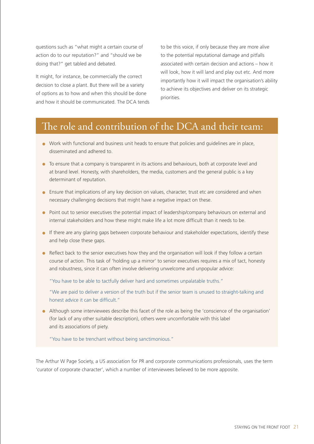questions such as "what might a certain course of action do to our reputation?" and "should we be doing that?" get tabled and debated.

It might, for instance, be commercially the correct decision to close a plant. But there will be a variety of options as to how and when this should be done and how it should be communicated. The DCA tends to be this voice, if only because they are more alive to the potential reputational damage and pitfalls associated with certain decision and actions – how it will look, how it will land and play out etc. And more importantly how it will impact the organisation's ability to achieve its objectives and deliver on its strategic priorities.

## The role and contribution of the DCA and their team:

- Work with functional and business unit heads to ensure that policies and guidelines are in place, disseminated and adhered to.
- To ensure that a company is transparent in its actions and behaviours, both at corporate level and at brand level. Honesty, with shareholders, the media, customers and the general public is a key determinant of reputation.
- Ensure that implications of any key decision on values, character, trust etc are considered and when necessary challenging decisions that might have a negative impact on these.
- Point out to senior executives the potential impact of leadership/company behaviours on external and internal stakeholders and how these might make life a lot more difficult than it needs to be.
- If there are any glaring gaps between corporate behaviour and stakeholder expectations, identify these and help close these gaps.
- Reflect back to the senior executives how they and the organisation will look if they follow a certain course of action. This task of 'holding up a mirror' to senior executives requires a mix of tact, honesty and robustness, since it can often involve delivering unwelcome and unpopular advice:

"You have to be able to tactfully deliver hard and sometimes unpalatable truths."

"We are paid to deliver a version of the truth but if the senior team is unused to straight-talking and honest advice it can be difficult."

• Although some interviewees describe this facet of the role as being the 'conscience of the organisation' (for lack of any other suitable description), others were uncomfortable with this label and its associations of piety.

"You have to be trenchant without being sanctimonious."

The Arthur W Page Society, a US association for PR and corporate communications professionals, uses the term 'curator of corporate character', which a number of interviewees believed to be more apposite.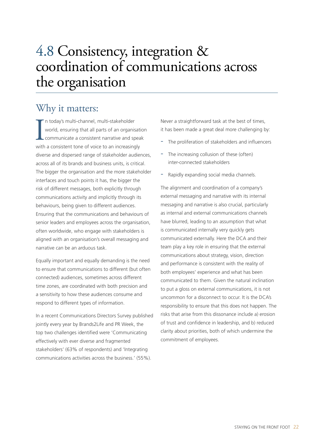## 4.8 Consistency, integration & coordination of communications across the organisation

### Why it matters:

In today's multi-channel, multi-stakeholder<br>world, ensuring that all parts of an organisation<br>communicate a consistent narrative and spea<br>with a consistent tone of voice to an increasingly n today's multi-channel, multi-stakeholder world, ensuring that all parts of an organisation communicate a consistent narrative and speak diverse and dispersed range of stakeholder audiences, across all of its brands and business units, is critical. The bigger the organisation and the more stakeholder interfaces and touch points it has, the bigger the risk of different messages, both explicitly through communications activity and implicitly through its behaviours, being given to different audiences. Ensuring that the communications and behaviours of senior leaders and employees across the organisation, often worldwide, who engage with stakeholders is aligned with an organisation's overall messaging and narrative can be an arduous task.

Equally important and equally demanding is the need to ensure that communications to different (but often connected) audiences, sometimes across different time zones, are coordinated with both precision and a sensitivity to how these audiences consume and respond to different types of information.

In a recent Communications Directors Survey published jointly every year by Brands2Life and PR Week, the top two challenges identified were 'Communicating effectively with ever diverse and fragmented stakeholders' (63% of respondents) and 'Integrating communications activities across the business.' (55%).

Never a straightforward task at the best of times, it has been made a great deal more challenging by:

- The proliferation of stakeholders and influencers
- The increasing collusion of these (often) inter-connected stakeholders
- Rapidly expanding social media channels.

The alignment and coordination of a company's external messaging and narrative with its internal messaging and narrative is also crucial, particularly as internal and external communications channels have blurred, leading to an assumption that what is communicated internally very quickly gets communicated externally. Here the DCA and their team play a key role in ensuring that the external communications about strategy, vision, direction and performance is consistent with the reality of both employees' experience and what has been communicated to them. Given the natural inclination to put a gloss on external communications, it is not uncommon for a disconnect to occur. It is the DCA's responsibility to ensure that this does not happen. The risks that arise from this dissonance include a) erosion of trust and confidence in leadership, and b) reduced clarity about priorities, both of which undermine the commitment of employees.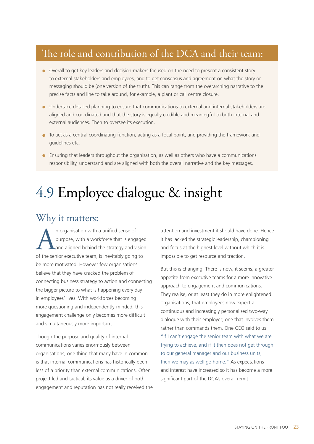## The role and contribution of the DCA and their team:

- Overall to get key leaders and decision-makers focused on the need to present a consistent story to external stakeholders and employees, and to get consensus and agreement on what the story or messaging should be (one version of the truth). This can range from the overarching narrative to the precise facts and line to take around, for example, a plant or call centre closure.
- Undertake detailed planning to ensure that communications to external and internal stakeholders are aligned and coordinated and that the story is equally credible and meaningful to both internal and external audiences. Then to oversee its execution.
- To act as a central coordinating function, acting as a focal point, and providing the framework and guidelines etc.
- Ensuring that leaders throughout the organisation, as well as others who have a communications responsibility, understand and are aligned with both the overall narrative and the key messages.

## 4.9 Employee dialogue & insight

#### Why it matters:

An organisation with a unified sense of<br>purpose, with a workforce that is enga<br>and aligned behind the strategy and violet the senior executive team. is inevitably going purpose, with a workforce that is engaged and aligned behind the strategy and vision of the senior executive team, is inevitably going to be more motivated. However few organisations believe that they have cracked the problem of connecting business strategy to action and connecting the bigger picture to what is happening every day in employees' lives. With workforces becoming more questioning and independently-minded, this engagement challenge only becomes more difficult and simultaneously more important.

Though the purpose and quality of internal communications varies enormously between organisations, one thing that many have in common is that internal communications has historically been less of a priority than external communications. Often project led and tactical, its value as a driver of both engagement and reputation has not really received the attention and investment it should have done. Hence it has lacked the strategic leadership, championing and focus at the highest level without which it is impossible to get resource and traction.

But this is changing. There is now, it seems, a greater appetite from executive teams for a more innovative approach to engagement and communications. They realise, or at least they do in more enlightened organisations, that employees now expect a continuous and increasingly personalised two-way dialogue with their employer; one that involves them rather than commands them. One CEO said to us "if I can't engage the senior team with what we are trying to achieve, and if it then does not get through to our general manager and our business units, then we may as well go home." As expectations and interest have increased so it has become a more significant part of the DCA's overall remit.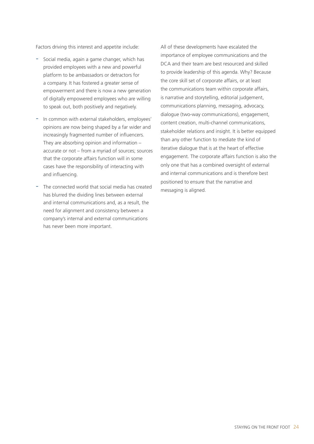Factors driving this interest and appetite include:

- Social media, again a game changer, which has provided employees with a new and powerful platform to be ambassadors or detractors for a company. It has fostered a greater sense of empowerment and there is now a new generation of digitally empowered employees who are willing to speak out, both positively and negatively.
- In common with external stakeholders, employees' opinions are now being shaped by a far wider and increasingly fragmented number of influencers. They are absorbing opinion and information – accurate or not – from a myriad of sources; sources that the corporate affairs function will in some cases have the responsibility of interacting with and influencing.
- The connected world that social media has created has blurred the dividing lines between external and internal communications and, as a result, the need for alignment and consistency between a company's internal and external communications has never been more important.

All of these developments have escalated the importance of employee communications and the DCA and their team are best resourced and skilled to provide leadership of this agenda. Why? Because the core skill set of corporate affairs, or at least the communications team within corporate affairs, is narrative and storytelling, editorial judgement, communications planning, messaging, advocacy, dialogue (two-way communications), engagement, content creation, multi-channel communications, stakeholder relations and insight. It is better equipped than any other function to mediate the kind of iterative dialogue that is at the heart of effective engagement. The corporate affairs function is also the only one that has a combined oversight of external and internal communications and is therefore best positioned to ensure that the narrative and messaging is aligned.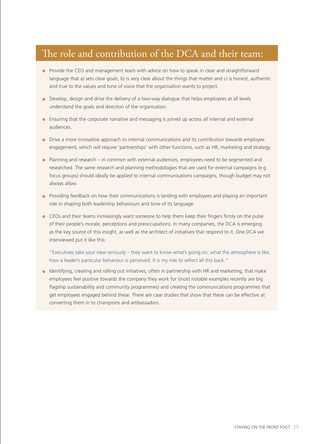## The role and contribution of the DCA and their team:

- Provide the CEO and management team with advice on how to speak in clear and straightforward language that a) sets clear goals, b) is very clear about the things that matter and c) is honest, authentic and true to the values and tone of voice that the organisation wants to project.
- Develop, design and drive the delivery of a two-way dialogue that helps employees at all levels understand the goals and direction of the organisation.
- Ensuring that the corporate narrative and messaging is joined up across all internal and external audiences.
- Drive a more innovative approach to internal communications and its contribution towards employee engagement, which will require 'partnerships' with other functions, such as HR, marketing and strategy.
- Planning and research in common with external audiences, employees need to be segmented and researched. The same research and planning methodologies that are used for external campaigns (e.g. focus groups) should ideally be applied to internal communications campaigns, though budget may not always allow.
- Providing feedback on how their communications is landing with employees and playing an important role in shaping both leadership behaviours and tone of its language.
- CEOs and their teams increasingly want someone to help them keep their fingers firmly on the pulse of their people's morale, perceptions and preoccupations. In many companies, the DCA is emerging as the key source of this insight, as well as the architect of initiatives that respond to it. One DCA we interviewed put it like this:

"Executives take your view seriously – they want to know what's going on, what the atmosphere is like, how a leader's particular behaviour is perceived. It is my role to reflect all this back."

• Identifying, creating and rolling out initiatives, often in partnership with HR and marketing, that make employees feel positive towards the company they work for (most notable examples recently are big flagship sustainability and community programmes) and creating the communications programmes that get employees engaged behind these. There are case studies that show that these can be effective at converting them in to champions and ambassadors.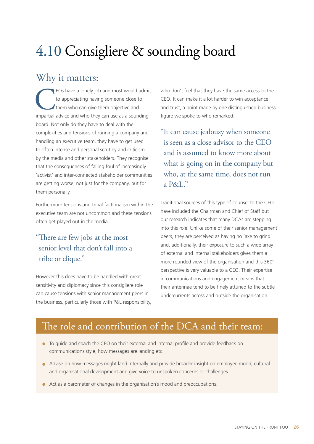## 4.10 Consigliere & sounding board

#### Why it matters:

EOs have a lonely job and most would admit to appreciating having someone close to them who can give them objective and impartial advice and who they can use as a sounding board. Not only do they have to deal with the complexities and tensions of running a company and handling an executive team, they have to get used to often intense and personal scrutiny and criticism by the media and other stakeholders. They recognise that the consequences of falling foul of increasingly 'activist' and inter-connected stakeholder communities are getting worse, not just for the company, but for them personally.

Furthermore tensions and tribal factionalism within the executive team are not uncommon and these tensions often get played out in the media.

#### "There are few jobs at the most senior level that don't fall into a tribe or clique."

However this does have to be handled with great sensitivity and diplomacy since this consigliere role can cause tensions with senior management peers in the business, particularly those with P&L responsibility, who don't feel that they have the same access to the CEO. It can make it a lot harder to win acceptance and trust, a point made by one distinguished business figure we spoke to who remarked:

"It can cause jealousy when someone is seen as a close advisor to the CEO and is assumed to know more about what is going on in the company but who, at the same time, does not run a P&L."

Traditional sources of this type of counsel to the CEO have included the Chairman and Chief of Staff but our research indicates that many DCAs are stepping into this role. Unlike some of their senior management peers, they are perceived as having no 'axe to grind' and, additionally, their exposure to such a wide array of external and internal stakeholders gives them a more rounded view of the organisation and this 360° perspective is very valuable to a CEO. Their expertise in communications and engagement means that their antennae tend to be finely attuned to the subtle undercurrents across and outside the organisation.

## The role and contribution of the DCA and their team:

- To guide and coach the CEO on their external and internal profile and provide feedback on communications style, how messages are landing etc.
- Advise on how messages might land internally and provide broader insight on employee mood, cultural and organisational development and give voice to unspoken concerns or challenges.
- Act as a barometer of changes in the organisation's mood and preoccupations.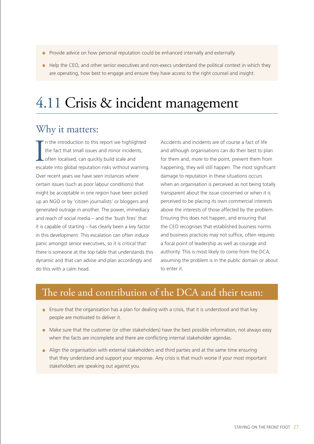- Provide advice on how personal reputation could be enhanced internally and externally.
- $\bullet$  Help the CEO, and other senior executives and non-execs understand the political context in which they are operating, how best to engage and ensure they have access to the right counsel and insight.

## 4.11 Crisis & incident management

## Why it matters:

In the introduction to this report we highlighted<br>the fact that small issues and minor incidents,<br>often localised, can quickly build scale and<br>escalate into global reputation risks without warning. n the introduction to this report we highlighted the fact that small issues and minor incidents, often localised, can quickly build scale and Over recent years we have seen instances where certain issues (such as poor labour conditions) that might be acceptable in one region have been picked up an NGO or by 'citizen journalists' or bloggers and generated outrage in another. The power, immediacy and reach of social media – and the 'bush fires' that it is capable of starting – has clearly been a key factor in this development. This escalation can often induce panic amongst senior executives, so it is critical that there is someone at the top table that understands this dynamic and that can advise and plan accordingly and do this with a calm head.

Accidents and incidents are of course a fact of life and although organisations can do their best to plan for them and, more to the point, prevent them from happening, they will still happen. The most significant damage to reputation in these situations occurs when an organisation is perceived as not being totally transparent about the issue concerned or when it is perceived to be placing its own commercial interests above the interests of those affected by the problem. Ensuring this does not happen, and ensuring that the CEO recognises that established business norms and business practices may not suffice, often requires a focal point of leadership as well as courage and authority. This is most likely to come from the DCA, assuming the problem is in the public domain or about to enter it.

## The role and contribution of the DCA and their team:

- Ensure that the organisation has a plan for dealing with a crisis, that it is understood and that key people are motivated to deliver it.
- Make sure that the customer (or other stakeholders) have the best possible information, not always easy when the facts are incomplete and there are conflicting internal stakeholder agendas.
- Align the organisation with external stakeholders and third parties and at the same time ensuring that they understand and support your response. Any crisis is that much worse if your most important stakeholders are speaking out against you.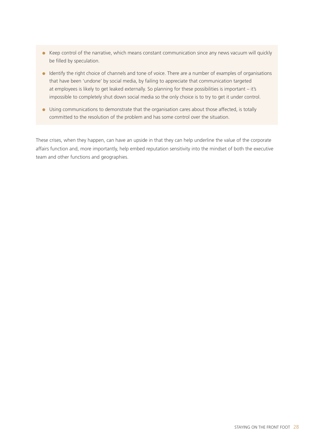- Keep control of the narrative, which means constant communication since any news vacuum will quickly be filled by speculation.
- Identify the right choice of channels and tone of voice. There are a number of examples of organisations that have been 'undone' by social media, by failing to appreciate that communication targeted at employees is likely to get leaked externally. So planning for these possibilities is important – it's impossible to completely shut down social media so the only choice is to try to get it under control.
- Using communications to demonstrate that the organisation cares about those affected, is totally committed to the resolution of the problem and has some control over the situation.

These crises, when they happen, can have an upside in that they can help underline the value of the corporate affairs function and, more importantly, help embed reputation sensitivity into the mindset of both the executive team and other functions and geographies.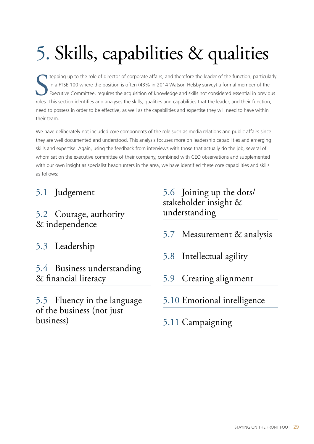# 5. Skills, capabilities & qualities

tepping up to the role of director of corporate affairs, and therefore the leader of the function, particular<br>in a FTSE 100 where the position is often (43% in 2014 Watson Helsby survey) a formal member of the<br>Executive Co tepping up to the role of director of corporate affairs, and therefore the leader of the function, particularly in a FTSE 100 where the position is often (43% in 2014 Watson Helsby survey) a formal member of the Executive Committee, requires the acquisition of knowledge and skills not considered essential in previous need to possess in order to be effective, as well as the capabilities and expertise they will need to have within their team.

We have deliberately not included core components of the role such as media relations and public affairs since they are well documented and understood. This analysis focuses more on leadership capabilities and emerging skills and expertise. Again, using the feedback from interviews with those that actually do the job, several of whom sat on the executive committee of their company, combined with CEO observations and supplemented with our own insight as specialist headhunters in the area, we have identified these core capabilities and skills as follows:

## 5.1 Judgement

#### 5.2 Courage, authority & independence

5.3 Leadership

5.4 Business understanding & financial literacy

5.5 Fluency in the language of the business (not just business)

#### 5.6 Joining up the dots/ stakeholder insight & understanding

- 5.7 Measurement & analysis
- 5.8 Intellectual agility
- 5.9 Creating alignment
- 5.10 Emotional intelligence

#### 5.11 Campaigning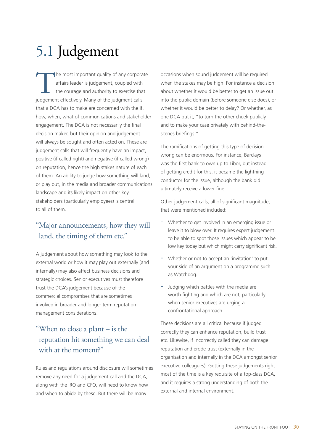## 5.1 Judgement

The most important quality of any corporate affairs leader is judgement, coupled with the courage and authority to exercise that judgement effectively. Many of the judgment calls affairs leader is judgement, coupled with the courage and authority to exercise that that a DCA has to make are concerned with the if. how, when, what of communications and stakeholder engagement. The DCA is not necessarily the final decision maker, but their opinion and judgement will always be sought and often acted on. These are judgement calls that will frequently have an impact, positive (if called right) and negative (if called wrong) on reputation, hence the high stakes nature of each of them. An ability to judge how something will land, or play out, in the media and broader communications landscape and its likely impact on other key stakeholders (particularly employees) is central to all of them.

#### "Major announcements, how they will land, the timing of them etc."

A judgement about how something may look to the external world or how it may play out externally (and internally) may also affect business decisions and strategic choices. Senior executives must therefore trust the DCA's judgement because of the commercial compromises that are sometimes involved in broader and longer term reputation management considerations.

#### "When to close a plant – is the reputation hit something we can deal with at the moment?"

Rules and regulations around disclosure will sometimes remove any need for a judgement call and the DCA, along with the IRO and CFO, will need to know how and when to abide by these. But there will be many

occasions when sound judgement will be required when the stakes may be high. For instance a decision about whether it would be better to get an issue out into the public domain (before someone else does), or whether it would be better to delay? Or whether, as one DCA put it, "to turn the other cheek publicly and to make your case privately with behind-thescenes briefings."

The ramifications of getting this type of decision wrong can be enormous. For instance, Barclays was the first bank to own up to Libor, but instead of getting credit for this, it became the lightning conductor for the issue, although the bank did ultimately receive a lower fine.

Other judgement calls, all of significant magnitude, that were mentioned included:

- Whether to get involved in an emerging issue or leave it to blow over. It requires expert judgement to be able to spot those issues which appear to be low key today but which might carry significant risk.
- Whether or not to accept an 'invitation' to put your side of an argument on a programme such as Watchdog.
- Judging which battles with the media are worth fighting and which are not, particularly when senior executives are urging a confrontational approach.

These decisions are all critical because if judged correctly they can enhance reputation, build trust etc. Likewise, if incorrectly called they can damage reputation and erode trust (externally in the organisation and internally in the DCA amongst senior executive colleagues). Getting these judgements right most of the time is a key requisite of a top-class DCA, and it requires a strong understanding of both the external and internal environment.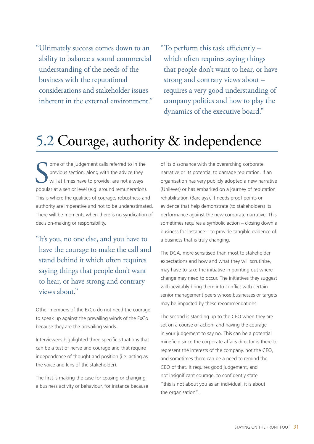"Ultimately success comes down to an ability to balance a sound commercial understanding of the needs of the business with the reputational considerations and stakeholder issues inherent in the external environment." "To perform this task efficiently – which often requires saying things that people don't want to hear, or have strong and contrary views about – requires a very good understanding of company politics and how to play the dynamics of the executive board."

## 5.2 Courage, authority & independence

Some of the judgement calls referred to in the previous section, along with the advice they will at times have to provide, are not always popular at a senior level (e.g. around remuneration). ome of the judgement calls referred to in the previous section, along with the advice they will at times have to provide, are not always This is where the qualities of courage, robustness and authority are imperative and not to be underestimated. There will be moments when there is no syndication of decision-making or responsibility.

"It's you, no one else, and you have to have the courage to make the call and stand behind it which often requires saying things that people don't want to hear, or have strong and contrary views about."

Other members of the ExCo do not need the courage to speak up against the prevailing winds of the ExCo because they are the prevailing winds.

Interviewees highlighted three specific situations that can be a test of nerve and courage and that require independence of thought and position (i.e. acting as the voice and lens of the stakeholder).

The first is making the case for ceasing or changing a business activity or behaviour, for instance because of its dissonance with the overarching corporate narrative or its potential to damage reputation. If an organisation has very publicly adopted a new narrative (Unilever) or has embarked on a journey of reputation rehabilitation (Barclays), it needs proof points or evidence that help demonstrate (to stakeholders) its performance against the new corporate narrative. This sometimes requires a symbolic action – closing down a business for instance – to provide tangible evidence of a business that is truly changing.

The DCA, more sensitised than most to stakeholder expectations and how and what they will scrutinise, may have to take the initiative in pointing out where change may need to occur. The initiatives they suggest will inevitably bring them into conflict with certain senior management peers whose businesses or targets may be impacted by these recommendations.

The second is standing up to the CEO when they are set on a course of action, and having the courage in your judgement to say no. This can be a potential minefield since the corporate affairs director is there to represent the interests of the company, not the CEO, and sometimes there can be a need to remind the CEO of that. It requires good judgement, and not insignificant courage, to confidently state "this is not about you as an individual, it is about the organisation".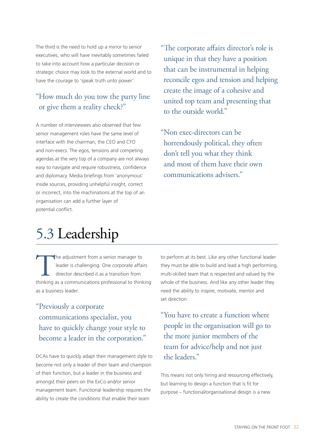The third is the need to hold up a mirror to senior executives, who will have inevitably sometimes failed to take into account how a particular decision or strategic choice may look to the external world and to have the courage to 'speak truth unto power'.

#### "How much do you tow the party line or give them a reality check?"

A number of interviewees also observed that few senior management roles have the same level of interface with the chairman, the CEO and CFO and non-execs. The egos, tensions and competing agendas at the very top of a company are not always easy to navigate and require robustness, confidence and diplomacy. Media briefings from 'anonymous' inside sources, providing unhelpful insight, correct or incorrect, into the machinations at the top of an organisation can add a further layer of potential conflict.

"The corporate affairs director's role is unique in that they have a position that can be instrumental in helping reconcile egos and tension and helping create the image of a cohesive and united top team and presenting that to the outside world."

"Non exec-directors can be horrendously political, they often don't tell you what they think and most of them have their own communications advisers."

## 5.3 Leadership

The adjustment from a senior manager to<br>
leader is challenging. One corporate affairs<br>
director described it as a transition from<br>
thinking as a communications professional to thinking leader is challenging. One corporate affairs director described it as a transition from as a business leader.

"Previously a corporate communications specialist, you have to quickly change your style to become a leader in the corporation."

DCAs have to quickly adapt their management style to become not only a leader of their team and champion of their function, but a leader in the business and amongst their peers on the ExCo and/or senior management team. Functional leadership requires the ability to create the conditions that enable their team

to perform at its best. Like any other functional leader they must be able to build and lead a high performing, multi-skilled team that is respected and valued by the whole of the business. And like any other leader they need the ability to inspire, motivate, mentor and set direction.

"You have to create a function where people in the organisation will go to the more junior members of the team for advice/help and not just the leaders."

This means not only hiring and resourcing effectively, but learning to design a function that is fit for purpose – functional/organisational design is a new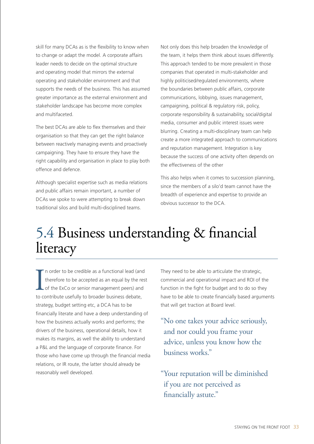skill for many DCAs as is the flexibility to know when to change or adapt the model. A corporate affairs leader needs to decide on the optimal structure and operating model that mirrors the external operating and stakeholder environment and that supports the needs of the business. This has assumed greater importance as the external environment and stakeholder landscape has become more complex and multifaceted.

The best DCAs are able to flex themselves and their organisation so that they can get the right balance between reactively managing events and proactively campaigning. They have to ensure they have the right capability and organisation in place to play both offence and defence.

Although specialist expertise such as media relations and public affairs remain important, a number of DCAs we spoke to were attempting to break down traditional silos and build multi-disciplined teams.

Not only does this help broaden the knowledge of the team, it helps them think about issues differently. This approach tended to be more prevalent in those companies that operated in multi-stakeholder and highly politicised/regulated environments, where the boundaries between public affairs, corporate communications, lobbying, issues management, campaigning, political & regulatory risk, policy, corporate responsibility & sustainability, social/digital media, consumer and public interest issues were blurring. Creating a multi-disciplinary team can help create a more integrated approach to communications and reputation management. Integration is key because the success of one activity often depends on the effectiveness of the other

This also helps when it comes to succession planning, since the members of a silo'd team cannot have the breadth of experience and expertise to provide an obvious successor to the DCA.

## 5.4 Business understanding & financial literacy

In order to be credible as a functional lead (and therefore to be accepted as an equal by the report of the ExCo or senior management peers) and to contribute usefully to broader business debate, n order to be credible as a functional lead (and therefore to be accepted as an equal by the rest of the ExCo or senior management peers) and strategy, budget setting etc, a DCA has to be financially literate and have a deep understanding of how the business actually works and performs; the drivers of the business, operational details, how it makes its margins, as well the ability to understand a P&L and the language of corporate finance. For those who have come up through the financial media relations, or IR route, the latter should already be reasonably well developed.

They need to be able to articulate the strategic, commercial and operational impact and ROI of the function in the fight for budget and to do so they have to be able to create financially based arguments that will get traction at Board level.

"No one takes your advice seriously, and nor could you frame your advice, unless you know how the business works."

"Your reputation will be diminished if you are not perceived as financially astute."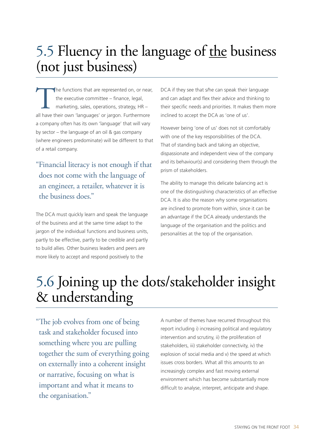## 5.5 Fluency in the language of the business (not just business)

The functions that are represented on, or near,<br>the executive committee – finance, legal,<br>marketing, sales, operations, strategy, HR –<br>all have their own 'languages' or iargon. Furthermore the executive committee – finance, legal, marketing, sales, operations, strategy, HR – all have their own 'languages' or jargon. Furthermore a company often has its own 'language' that will vary by sector – the language of an oil & gas company (where engineers predominate) will be different to that of a retail company.

"Financial literacy is not enough if that does not come with the language of an engineer, a retailer, whatever it is the business does."

The DCA must quickly learn and speak the language of the business and at the same time adapt to the jargon of the individual functions and business units, partly to be effective, partly to be credible and partly to build allies. Other business leaders and peers are more likely to accept and respond positively to the

DCA if they see that s/he can speak their language and can adapt and flex their advice and thinking to their specific needs and priorities. It makes them more inclined to accept the DCA as 'one of us'.

However being 'one of us' does not sit comfortably with one of the key responsibilities of the DCA. That of standing back and taking an objective, dispassionate and independent view of the company and its behaviour(s) and considering them through the prism of stakeholders.

The ability to manage this delicate balancing act is one of the distinguishing characteristics of an effective DCA. It is also the reason why some organisations are inclined to promote from within, since it can be an advantage if the DCA already understands the language of the organisation and the politics and personalities at the top of the organisation.

## 5.6 Joining up the dots/stakeholder insight & understanding

"The job evolves from one of being task and stakeholder focused into something where you are pulling together the sum of everything going on externally into a coherent insight or narrative, focusing on what is important and what it means to the organisation."

A number of themes have recurred throughout this report including i) increasing political and regulatory intervention and scrutiny, ii) the proliferation of stakeholders, iii) stakeholder connectivity, iv) the explosion of social media and v) the speed at which issues cross borders. What all this amounts to an increasingly complex and fast moving external environment which has become substantially more difficult to analyse, interpret, anticipate and shape.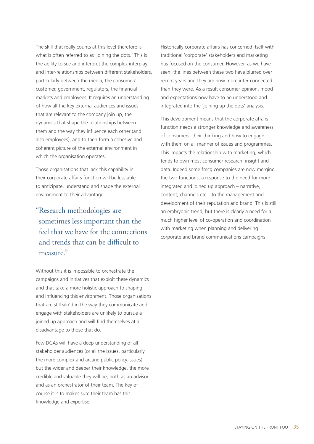The skill that really counts at this level therefore is what is often referred to as 'joining the dots.' This is the ability to see and interpret the complex interplay and inter-relationships between different stakeholders, particularly between the media, the consumer/ customer, government, regulators, the financial markets and employees. It requires an understanding of how all the key external audiences and issues that are relevant to the company join up, the dynamics that shape the relationships between them and the way they influence each other (and also employees), and to then form a cohesive and coherent picture of the external environment in which the organisation operates.

Those organisations that lack this capability in their corporate affairs function will be less able to anticipate, understand and shape the external environment to their advantage.

"Research methodologies are sometimes less important than the feel that we have for the connections and trends that can be difficult to measure."

Without this it is impossible to orchestrate the campaigns and initiatives that exploit these dynamics and that take a more holistic approach to shaping and influencing this environment. Those organisations that are still silo'd in the way they communicate and engage with stakeholders are unlikely to pursue a joined up approach and will find themselves at a disadvantage to those that do.

Few DCAs will have a deep understanding of all stakeholder audiences (or all the issues, particularly the more complex and arcane public policy issues) but the wider and deeper their knowledge, the more credible and valuable they will be, both as an advisor and as an orchestrator of their team. The key of course it is to makes sure their team has this knowledge and expertise.

Historically corporate affairs has concerned itself with traditional 'corporate' stakeholders and marketing has focused on the consumer. However, as we have seen, the lines between these two have blurred over recent years and they are now more inter-connected than they were. As a result consumer opinion, mood and expectations now have to be understood and integrated into the 'joining up the dots' analysis.

This development means that the corporate affairs function needs a stronger knowledge and awareness of consumers, their thinking and how to engage with them on all manner of issues and programmes. This impacts the relationship with marketing, which tends to own most consumer research, insight and data. Indeed some fmcg companies are now merging the two functions, a response to the need for more integrated and joined up approach – narrative, content, channels etc – to the management and development of their reputation and brand. This is still an embryonic trend, but there is clearly a need for a much higher level of co-operation and coordination with marketing when planning and delivering corporate and brand communications campaigns.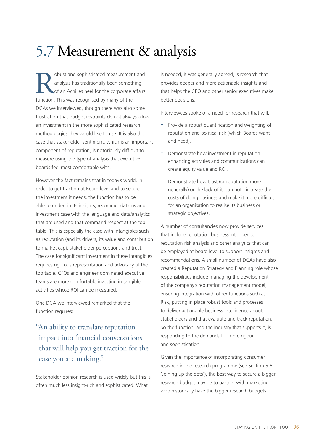## 5.7 Measurement & analysis

**Robust and sophisticated measurement and analysis has traditionally been something of an Achilles heel for the corporate affairs function.** This was recognised by many of the analysis has traditionally been something of an Achilles heel for the corporate affairs function. This was recognised by many of the DCAs we interviewed, though there was also some frustration that budget restraints do not always allow an investment in the more sophisticated research methodologies they would like to use. It is also the case that stakeholder sentiment, which is an important component of reputation, is notoriously difficult to measure using the type of analysis that executive boards feel most comfortable with.

However the fact remains that in today's world, in order to get traction at Board level and to secure the investment it needs, the function has to be able to underpin its insights, recommendations and investment case with the language and data/analytics that are used and that command respect at the top table. This is especially the case with intangibles such as reputation (and its drivers, its value and contribution to market cap), stakeholder perceptions and trust. The case for significant investment in these intangibles requires rigorous representation and advocacy at the top table. CFOs and engineer dominated executive teams are more comfortable investing in tangible activities whose ROI can be measured.

One DCA we interviewed remarked that the function requires:

#### "An ability to translate reputation impact into financial conversations that will help you get traction for the case you are making."

Stakeholder opinion research is used widely but this is often much less insight-rich and sophisticated. What

is needed, it was generally agreed, is research that provides deeper and more actionable insights and that helps the CEO and other senior executives make better decisions.

Interviewees spoke of a need for research that will:

- Provide a robust quantification and weighting of reputation and political risk (which Boards want and need).
- Demonstrate how investment in reputation enhancing activities and communications can create equity value and ROI.
- Demonstrate how trust (or reputation more generally) or the lack of it, can both increase the costs of doing business and make it more difficult for an organisation to realise its business or strategic objectives.

A number of consultancies now provide services that include reputation business intelligence, reputation risk analysis and other analytics that can be employed at board level to support insights and recommendations. A small number of DCAs have also created a Reputation Strategy and Planning role whose responsibilities include managing the development of the company's reputation management model, ensuring integration with other functions such as Risk, putting in place robust tools and processes to deliver actionable business intelligence about stakeholders and that evaluate and track reputation. So the function, and the industry that supports it, is responding to the demands for more rigour and sophistication.

Given the importance of incorporating consumer research in the research programme (see Section 5.6 'Joining up the dots'), the best way to secure a bigger research budget may be to partner with marketing who historically have the bigger research budgets.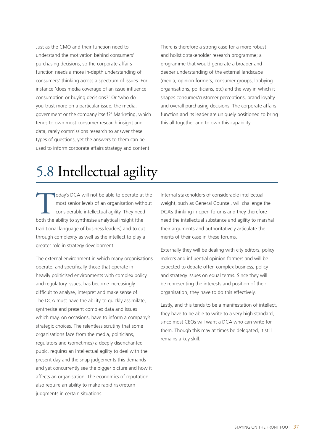Just as the CMO and their function need to understand the motivation behind consumers' purchasing decisions, so the corporate affairs function needs a more in-depth understanding of consumers' thinking across a spectrum of issues. For instance 'does media coverage of an issue influence consumption or buying decisions?' Or 'who do you trust more on a particular issue, the media, government or the company itself?' Marketing, which tends to own most consumer research insight and data, rarely commissions research to answer these types of questions, yet the answers to them can be used to inform corporate affairs strategy and content.

There is therefore a strong case for a more robust and holistic stakeholder research programme; a programme that would generate a broader and deeper understanding of the external landscape (media, opinion formers, consumer groups, lobbying organisations, politicians, etc) and the way in which it shapes consumer/customer perceptions, brand loyalty and overall purchasing decisions. The corporate affairs function and its leader are uniquely positioned to bring this all together and to own this capability.

## 5.8 Intellectual agility

**Today's DCA will not be able to operate at the most senior levels of an organisation without considerable intellectual agility. They need both the ability to synthesise analytical insight (the** most senior levels of an organisation without considerable intellectual agility. They need traditional language of business leaders) and to cut through complexity as well as the intellect to play a greater role in strategy development.

The external environment in which many organisations operate, and specifically those that operate in heavily politicised environments with complex policy and regulatory issues, has become increasingly difficult to analyse, interpret and make sense of. The DCA must have the ability to quickly assimilate, synthesise and present complex data and issues which may, on occasions, have to inform a company's strategic choices. The relentless scrutiny that some organisations face from the media, politicians, regulators and (sometimes) a deeply disenchanted pubic, requires an intellectual agility to deal with the present day and the snap judgements this demands and yet concurrently see the bigger picture and how it affects an organisation. The economics of reputation also require an ability to make rapid risk/return judgments in certain situations.

Internal stakeholders of considerable intellectual weight, such as General Counsel, will challenge the DCA's thinking in open forums and they therefore need the intellectual substance and agility to marshal their arguments and authoritatively articulate the merits of their case in these forums.

Externally they will be dealing with city editors, policy makers and influential opinion formers and will be expected to debate often complex business, policy and strategy issues on equal terms. Since they will be representing the interests and position of their organisation, they have to do this effectively.

Lastly, and this tends to be a manifestation of intellect, they have to be able to write to a very high standard, since most CEOs will want a DCA who can write for them. Though this may at times be delegated, it still remains a key skill.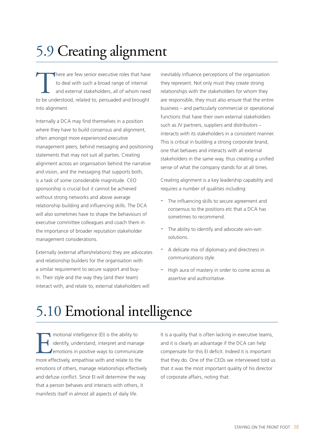## 5.9 Creating alignment

There are few senior executive roles that have<br>to deal with such a broad range of internal<br>and external stakeholders, all of whom need<br>to be understood. related to. persuaded and brought to deal with such a broad range of internal and external stakeholders, all of whom need to be understood, related to, persuaded and brought into alignment.

Internally a DCA may find themselves in a position where they have to build consensus and alignment, often amongst more experienced executive management peers, behind messaging and positioning statements that may not suit all parties. Creating alignment across an organisation behind the narrative and vision, and the messaging that supports both, is a task of some considerable magnitude. CEO sponsorship is crucial but it cannot be achieved without strong networks and above average relationship building and influencing skills. The DCA will also sometimes have to shape the behaviours of executive committee colleagues and coach them in the importance of broader reputation stakeholder management considerations.

Externally (external affairs/relations) they are advocates and relationship builders for the organisation with a similar requirement to secure support and buyin. Their style and the way they (and their team) interact with, and relate to, external stakeholders will

inevitably influence perceptions of the organisation they represent. Not only must they create strong relationships with the stakeholders for whom they are responsible, they must also ensure that the entire business – and particularly commercial or operational functions that have their own external stakeholders such as JV partners, suppliers and distributors – interacts with its stakeholders in a consistent manner. This is critical in building a strong corporate brand, one that behaves and interacts with all external stakeholders in the same way, thus creating a unified sense of what the company stands for at all times.

Creating alignment is a key leadership capability and requires a number of qualities including:

- The influencing skills to secure agreement and consensus to the positions etc that a DCA has sometimes to recommend.
- The ability to identify and advocate win-win solutions.
- A delicate mix of diplomacy and directness in communications style.
- High aura of mastery in order to come across as assertive and authoritative.

## 5.10 Emotional intelligence

motional intelligence (EI) is the ability to<br>identify, understand, interpret and mana<br>emotions in positive ways to communica<br>more effectively. empathise with and relate to the identify, understand, interpret and manage emotions in positive ways to communicate more effectively, empathise with and relate to the emotions of others, manage relationships effectively and defuse conflict. Since EI will determine the way that a person behaves and interacts with others, it manifests itself in almost all aspects of daily life.

It is a quality that is often lacking in executive teams, and it is clearly an advantage if the DCA can help compensate for this EI deficit. Indeed it is important that they do. One of the CEOs we interviewed told us that it was the most important quality of his director of corporate affairs, noting that: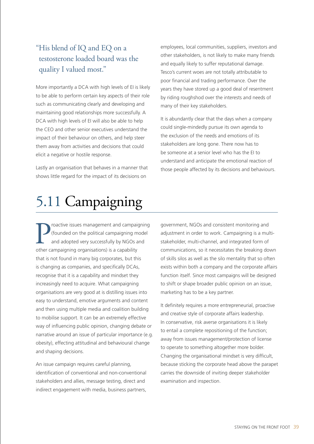#### "His blend of IQ and EQ on a testosterone loaded board was the quality I valued most."

More importantly a DCA with high levels of EI is likely to be able to perform certain key aspects of their role such as communicating clearly and developing and maintaining good relationships more successfully. A DCA with high levels of EI will also be able to help the CEO and other senior executives understand the impact of their behaviour on others, and help steer them away from activities and decisions that could elicit a negative or hostile response.

Lastly an organisation that behaves in a manner that shows little regard for the impact of its decisions on

employees, local communities, suppliers, investors and other stakeholders, is not likely to make many friends and equally likely to suffer reputational damage. Tesco's current woes are not totally attributable to poor financial and trading performance. Over the years they have stored up a good deal of resentment by riding roughshod over the interests and needs of many of their key stakeholders.

It is abundantly clear that the days when a company could single-mindedly pursue its own agenda to the exclusion of the needs and emotions of its stakeholders are long gone. There now has to be someone at a senior level who has the EI to understand and anticipate the emotional reaction of those people affected by its decisions and behaviours.

## 5.11 Campaigning

**P** (founded on the political campaigning m<br>and adopted very successfully by NGOs a<br>other campaigning organisations) is a capability roactive issues management and campaigning (founded on the political campaigning model and adopted very successfully by NGOs and that is not found in many big corporates, but this is changing as companies, and specifically DCAs, recognise that it is a capability and mindset they increasingly need to acquire. What campaigning organisations are very good at is distilling issues into easy to understand, emotive arguments and content and then using multiple media and coalition building to mobilise support. It can be an extremely effective way of influencing public opinion, changing debate or narrative around an issue of particular importance (e.g. obesity), effecting attitudinal and behavioural change and shaping decisions.

An issue campaign requires careful planning, identification of conventional and non-conventional stakeholders and allies, message testing, direct and indirect engagement with media, business partners,

government, NGOs and consistent monitoring and adjustment in order to work. Campaigning is a multistakeholder, multi-channel, and integrated form of communications, so it necessitates the breaking down of skills silos as well as the silo mentality that so often exists within both a company and the corporate affairs function itself. Since most campaigns will be designed to shift or shape broader public opinion on an issue, marketing has to be a key partner.

It definitely requires a more entrepreneurial, proactive and creative style of corporate affairs leadership. In conservative, risk averse organisations it is likely to entail a complete repositioning of the function; away from issues management/protection of license to operate to something altogether more bolder. Changing the organisational mindset is very difficult, because sticking the corporate head above the parapet carries the downside of inviting deeper stakeholder examination and inspection.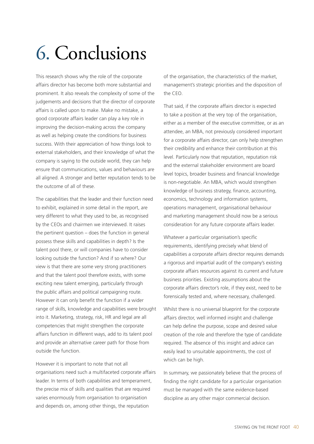# 6. Conclusions

This research shows why the role of the corporate affairs director has become both more substantial and prominent. It also reveals the complexity of some of the judgements and decisions that the director of corporate affairs is called upon to make. Make no mistake, a good corporate affairs leader can play a key role in improving the decision-making across the company as well as helping create the conditions for business success. With their appreciation of how things look to external stakeholders, and their knowledge of what the company is saying to the outside world, they can help ensure that communications, values and behaviours are all aligned. A stronger and better reputation tends to be the outcome of all of these.

The capabilities that the leader and their function need to exhibit, explained in some detail in the report, are very different to what they used to be, as recognised by the CEOs and chairmen we interviewed. It raises the pertinent question – does the function in general possess these skills and capabilities in depth? Is the talent pool there, or will companies have to consider looking outside the function? And if so where? Our view is that there are some very strong practitioners and that the talent pool therefore exists, with some exciting new talent emerging, particularly through the public affairs and political campaigning route. However it can only benefit the function if a wider range of skills, knowledge and capabilities were brought into it. Marketing, strategy, risk, HR and legal are all competencies that might strengthen the corporate affairs function in different ways, add to its talent pool and provide an alternative career path for those from outside the function.

However it is important to note that not all organisations need such a multifaceted corporate affairs leader. In terms of both capabilities and temperament, the precise mix of skills and qualities that are required varies enormously from organisation to organisation and depends on, among other things, the reputation

of the organisation, the characteristics of the market, management's strategic priorities and the disposition of the CEO.

That said, if the corporate affairs director is expected to take a position at the very top of the organisation, either as a member of the executive committee, or as an attendee, an MBA, not previously considered important for a corporate affairs director, can only help strengthen their credibility and enhance their contribution at this level. Particularly now that reputation, reputation risk and the external stakeholder environment are board level topics, broader business and financial knowledge is non-negotiable. An MBA, which would strengthen knowledge of business strategy, finance, accounting, economics, technology and information systems, operations management, organisational behaviour and marketing management should now be a serious consideration for any future corporate affairs leader.

Whatever a particular organisation's specific requirements, identifying precisely what blend of capabilities a corporate affairs director requires demands a rigorous and impartial audit of the company's existing corporate affairs resources against its current and future business priorities. Existing assumptions about the corporate affairs director's role, if they exist, need to be forensically tested and, where necessary, challenged.

Whilst there is no universal blueprint for the corporate affairs director, well informed insight and challenge can help define the purpose, scope and desired value creation of the role and therefore the type of candidate required. The absence of this insight and advice can easily lead to unsuitable appointments, the cost of which can be high.

In summary, we passionately believe that the process of finding the right candidate for a particular organisation must be managed with the same evidence-based discipline as any other major commercial decision.